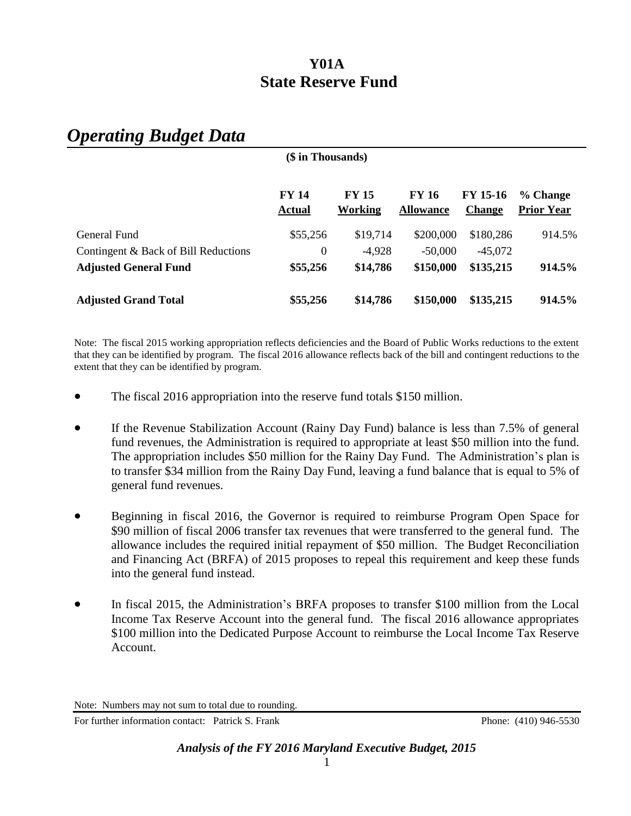| (\$ in Thousands)                    |                               |                         |                                  |                                  |                               |
|--------------------------------------|-------------------------------|-------------------------|----------------------------------|----------------------------------|-------------------------------|
|                                      | <b>FY 14</b><br><b>Actual</b> | <b>FY 15</b><br>Working | <b>FY 16</b><br><b>Allowance</b> | <b>FY 15-16</b><br><b>Change</b> | % Change<br><b>Prior Year</b> |
| General Fund                         | \$55,256                      | \$19,714                | \$200,000                        | \$180,286                        | 914.5%                        |
| Contingent & Back of Bill Reductions | $\Omega$                      | $-4,928$                | $-50,000$                        | $-45,072$                        |                               |
| <b>Adjusted General Fund</b>         | \$55,256                      | \$14,786                | \$150,000                        | \$135,215                        | 914.5%                        |
| <b>Adjusted Grand Total</b>          | \$55,256                      | \$14,786                | \$150,000                        | \$135,215                        | 914.5%                        |

# *Operating Budget Data*

Note: The fiscal 2015 working appropriation reflects deficiencies and the Board of Public Works reductions to the extent that they can be identified by program. The fiscal 2016 allowance reflects back of the bill and contingent reductions to the extent that they can be identified by program.

- The fiscal 2016 appropriation into the reserve fund totals \$150 million.
- If the Revenue Stabilization Account (Rainy Day Fund) balance is less than 7.5% of general fund revenues, the Administration is required to appropriate at least \$50 million into the fund. The appropriation includes \$50 million for the Rainy Day Fund. The Administration's plan is to transfer \$34 million from the Rainy Day Fund, leaving a fund balance that is equal to 5% of general fund revenues.
- Beginning in fiscal 2016, the Governor is required to reimburse Program Open Space for \$90 million of fiscal 2006 transfer tax revenues that were transferred to the general fund. The allowance includes the required initial repayment of \$50 million. The Budget Reconciliation and Financing Act (BRFA) of 2015 proposes to repeal this requirement and keep these funds into the general fund instead.
- In fiscal 2015, the Administration's BRFA proposes to transfer \$100 million from the Local Income Tax Reserve Account into the general fund. The fiscal 2016 allowance appropriates \$100 million into the Dedicated Purpose Account to reimburse the Local Income Tax Reserve Account.

For further information contact: Patrick S. Frank Phone: (410) 946-5530

Note: Numbers may not sum to total due to rounding.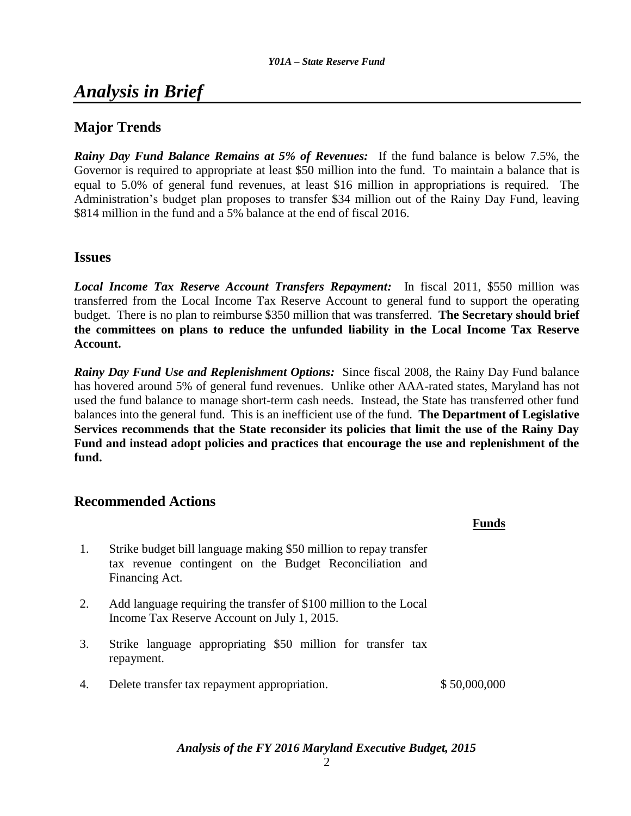# *Analysis in Brief*

## **Major Trends**

*Rainy Day Fund Balance Remains at 5% of Revenues:* If the fund balance is below 7.5%, the Governor is required to appropriate at least \$50 million into the fund. To maintain a balance that is equal to 5.0% of general fund revenues, at least \$16 million in appropriations is required. The Administration's budget plan proposes to transfer \$34 million out of the Rainy Day Fund, leaving \$814 million in the fund and a 5% balance at the end of fiscal 2016.

## **Issues**

*Local Income Tax Reserve Account Transfers Repayment:* In fiscal 2011, \$550 million was transferred from the Local Income Tax Reserve Account to general fund to support the operating budget. There is no plan to reimburse \$350 million that was transferred. **The Secretary should brief the committees on plans to reduce the unfunded liability in the Local Income Tax Reserve Account.** 

*Rainy Day Fund Use and Replenishment Options:* Since fiscal 2008, the Rainy Day Fund balance has hovered around 5% of general fund revenues. Unlike other AAA-rated states, Maryland has not used the fund balance to manage short-term cash needs. Instead, the State has transferred other fund balances into the general fund. This is an inefficient use of the fund. **The Department of Legislative Services recommends that the State reconsider its policies that limit the use of the Rainy Day Fund and instead adopt policies and practices that encourage the use and replenishment of the fund.** 

**Funds**

## **Recommended Actions**

|    |                                                                                                                                                | runas        |
|----|------------------------------------------------------------------------------------------------------------------------------------------------|--------------|
| 1. | Strike budget bill language making \$50 million to repay transfer<br>tax revenue contingent on the Budget Reconciliation and<br>Financing Act. |              |
| 2. | Add language requiring the transfer of \$100 million to the Local<br>Income Tax Reserve Account on July 1, 2015.                               |              |
| 3. | Strike language appropriating \$50 million for transfer tax<br>repayment.                                                                      |              |
| 4. | Delete transfer tax repayment appropriation.                                                                                                   | \$50,000,000 |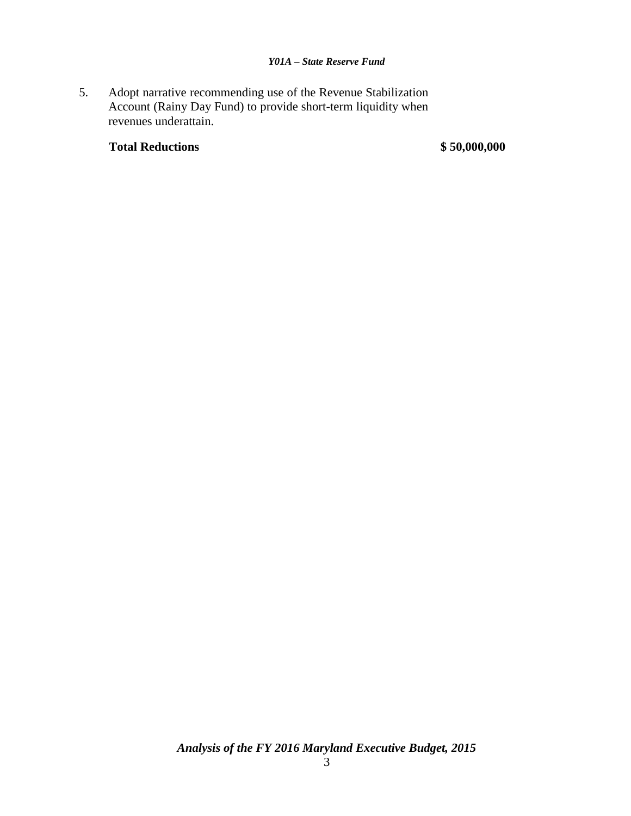5. Adopt narrative recommending use of the Revenue Stabilization Account (Rainy Day Fund) to provide short-term liquidity when revenues underattain.

## **Total Reductions \$ 50,000,000**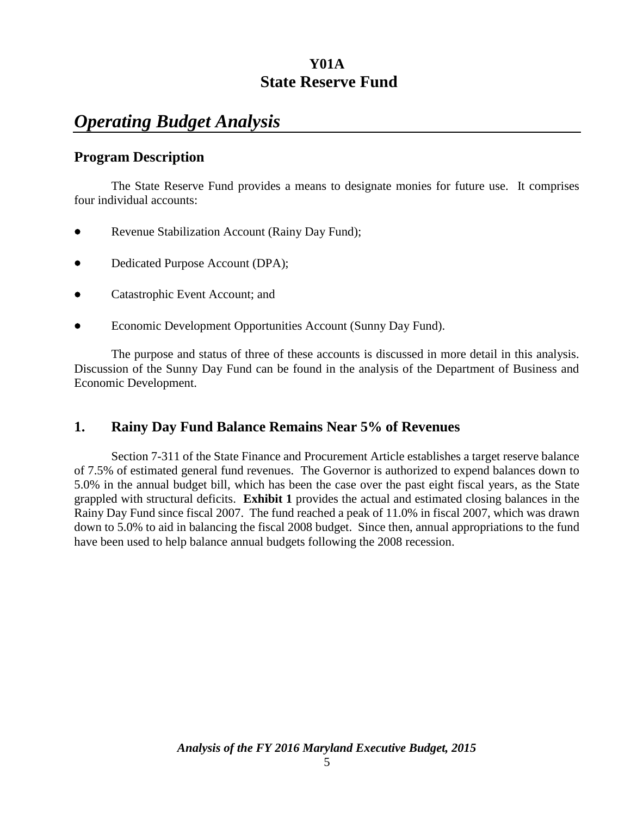# *Operating Budget Analysis*

## **Program Description**

The State Reserve Fund provides a means to designate monies for future use. It comprises four individual accounts:

- Revenue Stabilization Account (Rainy Day Fund);
- Dedicated Purpose Account (DPA);
- Catastrophic Event Account; and
- Economic Development Opportunities Account (Sunny Day Fund).

The purpose and status of three of these accounts is discussed in more detail in this analysis. Discussion of the Sunny Day Fund can be found in the analysis of the Department of Business and Economic Development.

## **1. Rainy Day Fund Balance Remains Near 5% of Revenues**

Section 7-311 of the State Finance and Procurement Article establishes a target reserve balance of 7.5% of estimated general fund revenues. The Governor is authorized to expend balances down to 5.0% in the annual budget bill, which has been the case over the past eight fiscal years, as the State grappled with structural deficits. **Exhibit 1** provides the actual and estimated closing balances in the Rainy Day Fund since fiscal 2007. The fund reached a peak of 11.0% in fiscal 2007, which was drawn down to 5.0% to aid in balancing the fiscal 2008 budget. Since then, annual appropriations to the fund have been used to help balance annual budgets following the 2008 recession.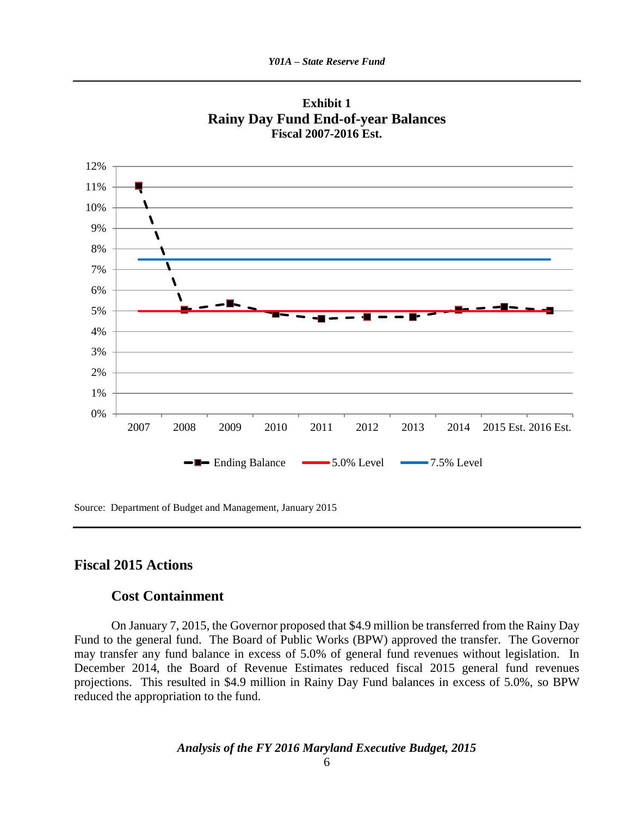



Source: Department of Budget and Management, January 2015

## **Fiscal 2015 Actions**

### **Cost Containment**

On January 7, 2015, the Governor proposed that \$4.9 million be transferred from the Rainy Day Fund to the general fund. The Board of Public Works (BPW) approved the transfer. The Governor may transfer any fund balance in excess of 5.0% of general fund revenues without legislation. In December 2014, the Board of Revenue Estimates reduced fiscal 2015 general fund revenues projections. This resulted in \$4.9 million in Rainy Day Fund balances in excess of 5.0%, so BPW reduced the appropriation to the fund.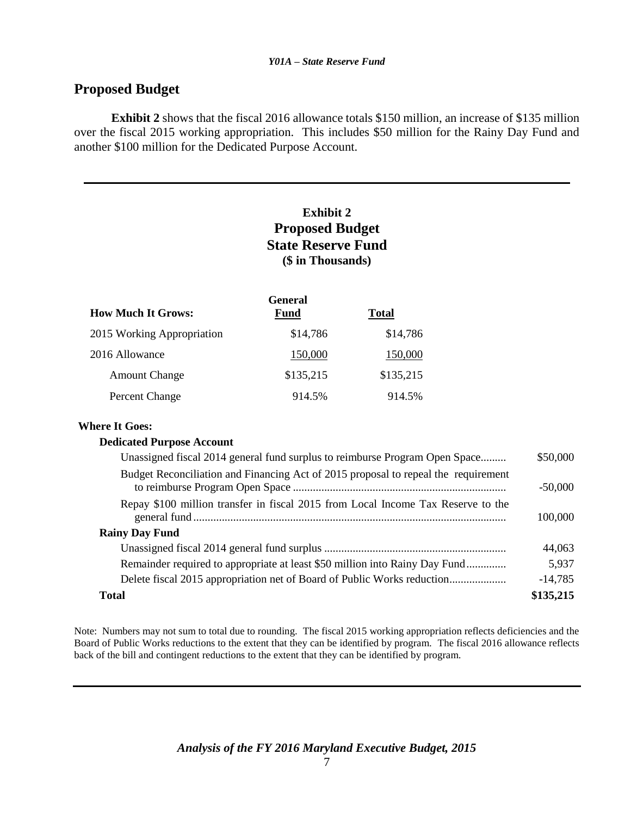## **Proposed Budget**

**Exhibit 2** shows that the fiscal 2016 allowance totals \$150 million, an increase of \$135 million over the fiscal 2015 working appropriation. This includes \$50 million for the Rainy Day Fund and another \$100 million for the Dedicated Purpose Account.

## **Exhibit 2 Proposed Budget State Reserve Fund (\$ in Thousands)**

|                            | <b>General</b> |              |
|----------------------------|----------------|--------------|
| <b>How Much It Grows:</b>  | Fund           | <b>Total</b> |
| 2015 Working Appropriation | \$14,786       | \$14,786     |
| 2016 Allowance             | 150,000        | 150,000      |
| <b>Amount Change</b>       | \$135,215      | \$135,215    |
| Percent Change             | 914.5%         | 914.5%       |

#### **Where It Goes:**

#### **Dedicated Purpose Account**

| Unassigned fiscal 2014 general fund surplus to reimburse Program Open Space        | \$50,000  |
|------------------------------------------------------------------------------------|-----------|
| Budget Reconciliation and Financing Act of 2015 proposal to repeal the requirement | $-50,000$ |
| Repay \$100 million transfer in fiscal 2015 from Local Income Tax Reserve to the   | 100,000   |
| <b>Rainy Day Fund</b>                                                              |           |
|                                                                                    | 44,063    |
| Remainder required to appropriate at least \$50 million into Rainy Day Fund        | 5,937     |
|                                                                                    | $-14,785$ |
| <b>Total</b>                                                                       | \$135,215 |

Note: Numbers may not sum to total due to rounding. The fiscal 2015 working appropriation reflects deficiencies and the Board of Public Works reductions to the extent that they can be identified by program. The fiscal 2016 allowance reflects back of the bill and contingent reductions to the extent that they can be identified by program.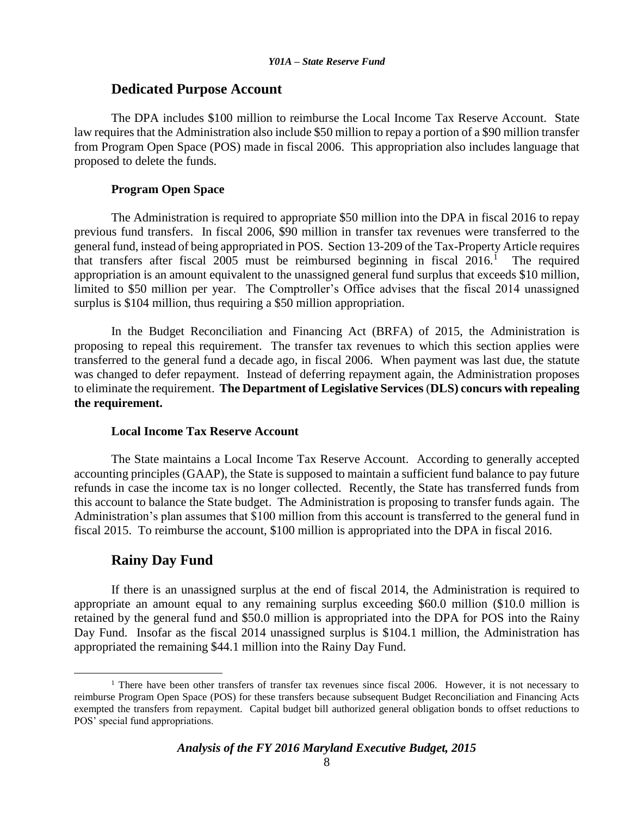### **Dedicated Purpose Account**

The DPA includes \$100 million to reimburse the Local Income Tax Reserve Account. State law requires that the Administration also include \$50 million to repay a portion of a \$90 million transfer from Program Open Space (POS) made in fiscal 2006. This appropriation also includes language that proposed to delete the funds.

### **Program Open Space**

The Administration is required to appropriate \$50 million into the DPA in fiscal 2016 to repay previous fund transfers. In fiscal 2006, \$90 million in transfer tax revenues were transferred to the general fund, instead of being appropriated in POS. Section 13-209 of the Tax-Property Article requires that transfers after fiscal 2005 must be reimbursed beginning in fiscal  $2016$ <sup>1</sup>. The required appropriation is an amount equivalent to the unassigned general fund surplus that exceeds \$10 million, limited to \$50 million per year. The Comptroller's Office advises that the fiscal 2014 unassigned surplus is \$104 million, thus requiring a \$50 million appropriation.

In the Budget Reconciliation and Financing Act (BRFA) of 2015, the Administration is proposing to repeal this requirement. The transfer tax revenues to which this section applies were transferred to the general fund a decade ago, in fiscal 2006. When payment was last due, the statute was changed to defer repayment. Instead of deferring repayment again, the Administration proposes to eliminate the requirement. **The Department of Legislative Services** (**DLS) concurs with repealing the requirement.** 

### **Local Income Tax Reserve Account**

The State maintains a Local Income Tax Reserve Account. According to generally accepted accounting principles (GAAP), the State is supposed to maintain a sufficient fund balance to pay future refunds in case the income tax is no longer collected. Recently, the State has transferred funds from this account to balance the State budget. The Administration is proposing to transfer funds again. The Administration's plan assumes that \$100 million from this account is transferred to the general fund in fiscal 2015. To reimburse the account, \$100 million is appropriated into the DPA in fiscal 2016.

## **Rainy Day Fund**

 $\overline{a}$ 

If there is an unassigned surplus at the end of fiscal 2014, the Administration is required to appropriate an amount equal to any remaining surplus exceeding \$60.0 million (\$10.0 million is retained by the general fund and \$50.0 million is appropriated into the DPA for POS into the Rainy Day Fund. Insofar as the fiscal 2014 unassigned surplus is \$104.1 million, the Administration has appropriated the remaining \$44.1 million into the Rainy Day Fund.

<sup>&</sup>lt;sup>1</sup> There have been other transfers of transfer tax revenues since fiscal 2006. However, it is not necessary to reimburse Program Open Space (POS) for these transfers because subsequent Budget Reconciliation and Financing Acts exempted the transfers from repayment. Capital budget bill authorized general obligation bonds to offset reductions to POS' special fund appropriations.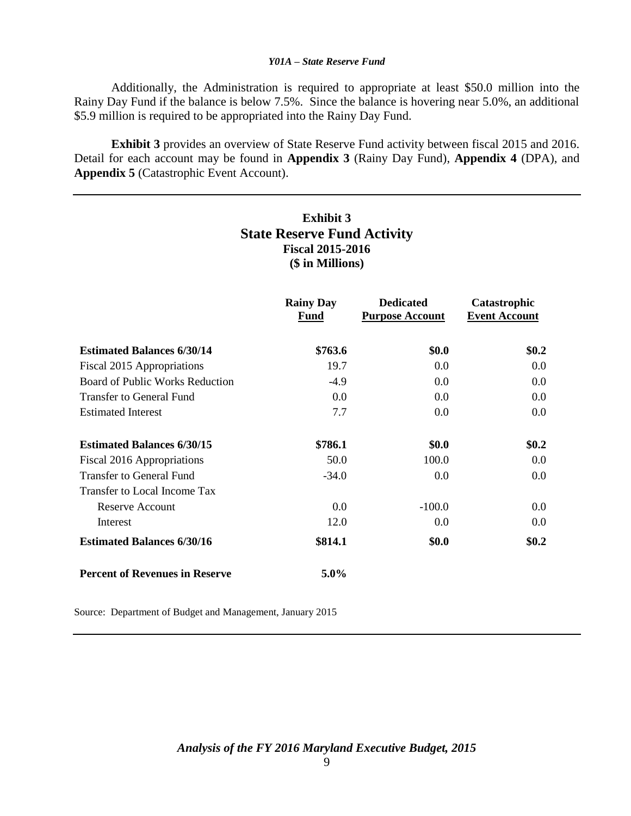Additionally, the Administration is required to appropriate at least \$50.0 million into the Rainy Day Fund if the balance is below 7.5%. Since the balance is hovering near 5.0%, an additional \$5.9 million is required to be appropriated into the Rainy Day Fund.

**Exhibit 3** provides an overview of State Reserve Fund activity between fiscal 2015 and 2016. Detail for each account may be found in **Appendix 3** (Rainy Day Fund), **Appendix 4** (DPA), and **Appendix 5** (Catastrophic Event Account).

## **Exhibit 3 State Reserve Fund Activity Fiscal 2015-2016 (\$ in Millions)**

|                                       | <b>Rainy Day</b><br><b>Fund</b> | <b>Dedicated</b><br><b>Purpose Account</b> | Catastrophic<br><b>Event Account</b> |
|---------------------------------------|---------------------------------|--------------------------------------------|--------------------------------------|
| <b>Estimated Balances 6/30/14</b>     | \$763.6                         | \$0.0                                      | \$0.2\$                              |
| Fiscal 2015 Appropriations            | 19.7                            | 0.0                                        | 0.0                                  |
| Board of Public Works Reduction       | $-4.9$                          | 0.0                                        | 0.0                                  |
| <b>Transfer to General Fund</b>       | 0.0                             | 0.0                                        | 0.0                                  |
| <b>Estimated Interest</b>             | 7.7                             | 0.0                                        | $0.0\,$                              |
| <b>Estimated Balances 6/30/15</b>     | \$786.1                         | \$0.0                                      | \$0.2\$                              |
| Fiscal 2016 Appropriations            | 50.0                            | 100.0                                      | 0.0                                  |
| Transfer to General Fund              | $-34.0$                         | 0.0                                        | 0.0                                  |
| Transfer to Local Income Tax          |                                 |                                            |                                      |
| <b>Reserve Account</b>                | 0.0                             | $-100.0$                                   | 0.0                                  |
| Interest                              | 12.0                            | 0.0                                        | 0.0                                  |
| <b>Estimated Balances 6/30/16</b>     | \$814.1                         | \$0.0                                      | \$0.2\$                              |
| <b>Percent of Revenues in Reserve</b> | 5.0%                            |                                            |                                      |

Source: Department of Budget and Management, January 2015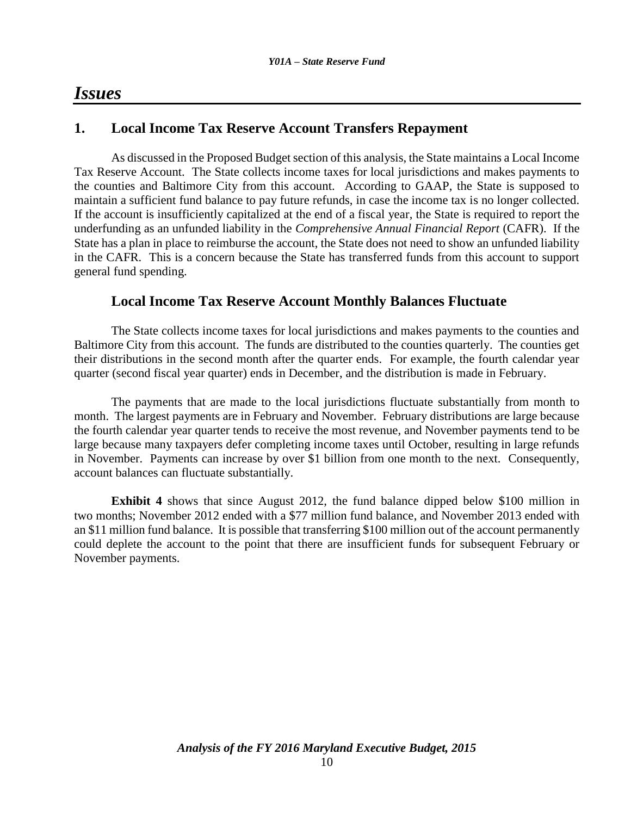# *Issues*

## **1. Local Income Tax Reserve Account Transfers Repayment**

As discussed in the Proposed Budget section of this analysis, the State maintains a Local Income Tax Reserve Account. The State collects income taxes for local jurisdictions and makes payments to the counties and Baltimore City from this account. According to GAAP, the State is supposed to maintain a sufficient fund balance to pay future refunds, in case the income tax is no longer collected. If the account is insufficiently capitalized at the end of a fiscal year, the State is required to report the underfunding as an unfunded liability in the *Comprehensive Annual Financial Report* (CAFR). If the State has a plan in place to reimburse the account, the State does not need to show an unfunded liability in the CAFR. This is a concern because the State has transferred funds from this account to support general fund spending.

## **Local Income Tax Reserve Account Monthly Balances Fluctuate**

The State collects income taxes for local jurisdictions and makes payments to the counties and Baltimore City from this account. The funds are distributed to the counties quarterly. The counties get their distributions in the second month after the quarter ends. For example, the fourth calendar year quarter (second fiscal year quarter) ends in December, and the distribution is made in February.

The payments that are made to the local jurisdictions fluctuate substantially from month to month. The largest payments are in February and November. February distributions are large because the fourth calendar year quarter tends to receive the most revenue, and November payments tend to be large because many taxpayers defer completing income taxes until October, resulting in large refunds in November. Payments can increase by over \$1 billion from one month to the next. Consequently, account balances can fluctuate substantially.

**Exhibit 4** shows that since August 2012, the fund balance dipped below \$100 million in two months; November 2012 ended with a \$77 million fund balance, and November 2013 ended with an \$11 million fund balance. It is possible that transferring \$100 million out of the account permanently could deplete the account to the point that there are insufficient funds for subsequent February or November payments.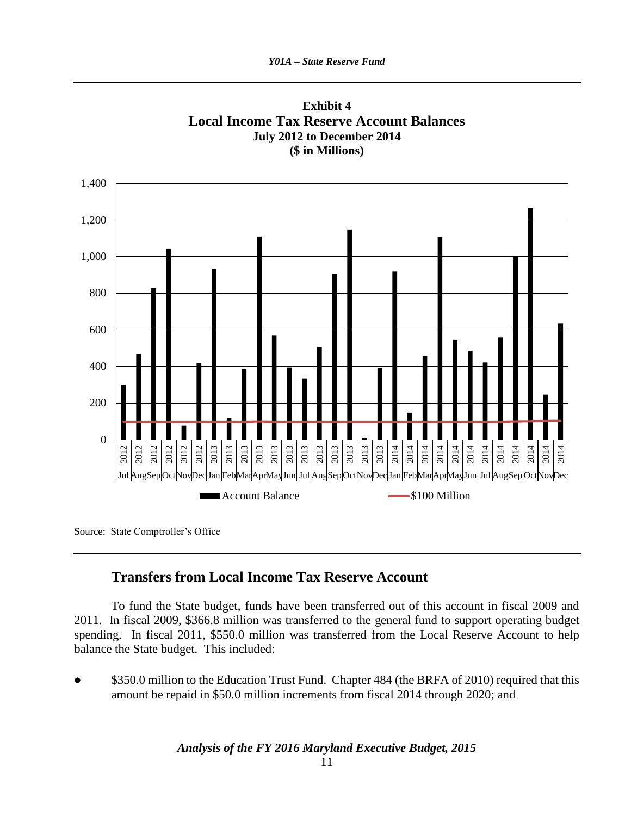

### **Exhibit 4 Local Income Tax Reserve Account Balances July 2012 to December 2014 (\$ in Millions)**

## **Transfers from Local Income Tax Reserve Account**

To fund the State budget, funds have been transferred out of this account in fiscal 2009 and 2011. In fiscal 2009, \$366.8 million was transferred to the general fund to support operating budget spending. In fiscal 2011, \$550.0 million was transferred from the Local Reserve Account to help balance the State budget. This included:

\$350.0 million to the Education Trust Fund. Chapter 484 (the BRFA of 2010) required that this amount be repaid in \$50.0 million increments from fiscal 2014 through 2020; and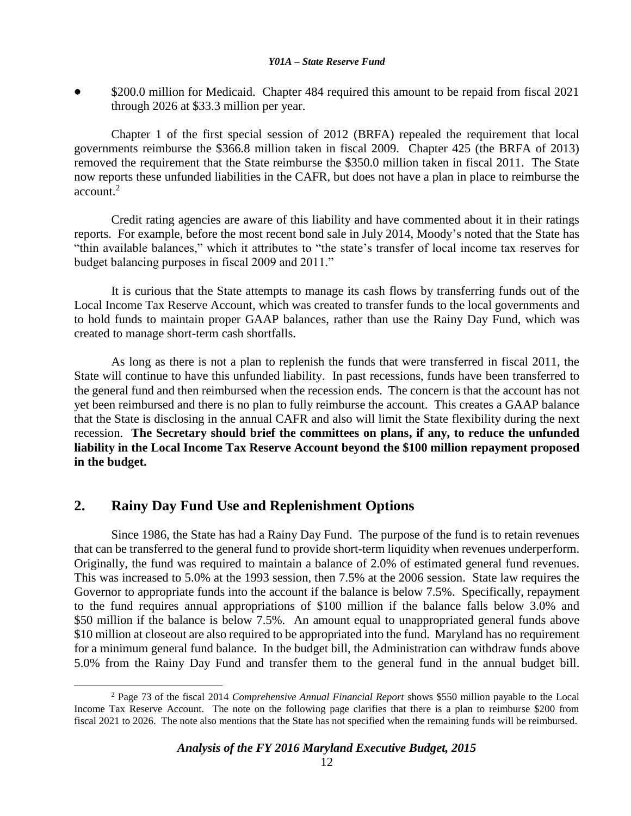\$200.0 million for Medicaid. Chapter 484 required this amount to be repaid from fiscal 2021 through 2026 at \$33.3 million per year.

Chapter 1 of the first special session of 2012 (BRFA) repealed the requirement that local governments reimburse the \$366.8 million taken in fiscal 2009. Chapter 425 (the BRFA of 2013) removed the requirement that the State reimburse the \$350.0 million taken in fiscal 2011. The State now reports these unfunded liabilities in the CAFR, but does not have a plan in place to reimburse the  $account.<sup>2</sup>$ 

Credit rating agencies are aware of this liability and have commented about it in their ratings reports. For example, before the most recent bond sale in July 2014, Moody's noted that the State has "thin available balances," which it attributes to "the state's transfer of local income tax reserves for budget balancing purposes in fiscal 2009 and 2011."

It is curious that the State attempts to manage its cash flows by transferring funds out of the Local Income Tax Reserve Account, which was created to transfer funds to the local governments and to hold funds to maintain proper GAAP balances, rather than use the Rainy Day Fund, which was created to manage short-term cash shortfalls.

As long as there is not a plan to replenish the funds that were transferred in fiscal 2011, the State will continue to have this unfunded liability. In past recessions, funds have been transferred to the general fund and then reimbursed when the recession ends. The concern is that the account has not yet been reimbursed and there is no plan to fully reimburse the account. This creates a GAAP balance that the State is disclosing in the annual CAFR and also will limit the State flexibility during the next recession. **The Secretary should brief the committees on plans, if any, to reduce the unfunded liability in the Local Income Tax Reserve Account beyond the \$100 million repayment proposed in the budget.** 

## **2. Rainy Day Fund Use and Replenishment Options**

 $\overline{a}$ 

Since 1986, the State has had a Rainy Day Fund. The purpose of the fund is to retain revenues that can be transferred to the general fund to provide short-term liquidity when revenues underperform. Originally, the fund was required to maintain a balance of 2.0% of estimated general fund revenues. This was increased to 5.0% at the 1993 session, then 7.5% at the 2006 session. State law requires the Governor to appropriate funds into the account if the balance is below 7.5%. Specifically, repayment to the fund requires annual appropriations of \$100 million if the balance falls below 3.0% and \$50 million if the balance is below 7.5%. An amount equal to unappropriated general funds above \$10 million at closeout are also required to be appropriated into the fund. Maryland has no requirement for a minimum general fund balance. In the budget bill, the Administration can withdraw funds above 5.0% from the Rainy Day Fund and transfer them to the general fund in the annual budget bill.

<sup>2</sup> Page 73 of the fiscal 2014 *Comprehensive Annual Financial Report* shows \$550 million payable to the Local Income Tax Reserve Account. The note on the following page clarifies that there is a plan to reimburse \$200 from fiscal 2021 to 2026. The note also mentions that the State has not specified when the remaining funds will be reimbursed.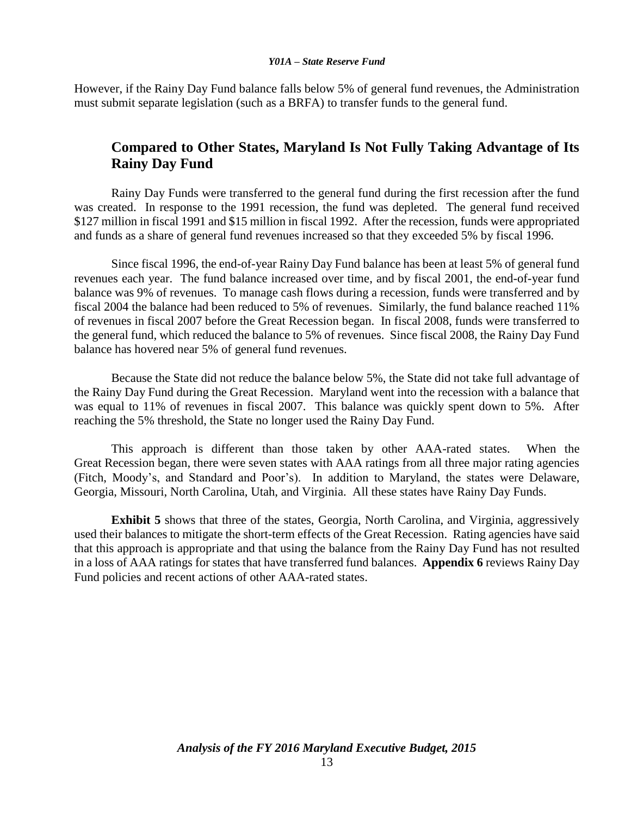However, if the Rainy Day Fund balance falls below 5% of general fund revenues, the Administration must submit separate legislation (such as a BRFA) to transfer funds to the general fund.

## **Compared to Other States, Maryland Is Not Fully Taking Advantage of Its Rainy Day Fund**

Rainy Day Funds were transferred to the general fund during the first recession after the fund was created. In response to the 1991 recession, the fund was depleted. The general fund received \$127 million in fiscal 1991 and \$15 million in fiscal 1992. After the recession, funds were appropriated and funds as a share of general fund revenues increased so that they exceeded 5% by fiscal 1996.

Since fiscal 1996, the end-of-year Rainy Day Fund balance has been at least 5% of general fund revenues each year. The fund balance increased over time, and by fiscal 2001, the end-of-year fund balance was 9% of revenues. To manage cash flows during a recession, funds were transferred and by fiscal 2004 the balance had been reduced to 5% of revenues. Similarly, the fund balance reached 11% of revenues in fiscal 2007 before the Great Recession began. In fiscal 2008, funds were transferred to the general fund, which reduced the balance to 5% of revenues. Since fiscal 2008, the Rainy Day Fund balance has hovered near 5% of general fund revenues.

Because the State did not reduce the balance below 5%, the State did not take full advantage of the Rainy Day Fund during the Great Recession. Maryland went into the recession with a balance that was equal to 11% of revenues in fiscal 2007. This balance was quickly spent down to 5%. After reaching the 5% threshold, the State no longer used the Rainy Day Fund.

This approach is different than those taken by other AAA-rated states. When the Great Recession began, there were seven states with AAA ratings from all three major rating agencies (Fitch, Moody's, and Standard and Poor's). In addition to Maryland, the states were Delaware, Georgia, Missouri, North Carolina, Utah, and Virginia. All these states have Rainy Day Funds.

**Exhibit 5** shows that three of the states, Georgia, North Carolina, and Virginia, aggressively used their balances to mitigate the short-term effects of the Great Recession. Rating agencies have said that this approach is appropriate and that using the balance from the Rainy Day Fund has not resulted in a loss of AAA ratings for states that have transferred fund balances. **Appendix 6** reviews Rainy Day Fund policies and recent actions of other AAA-rated states.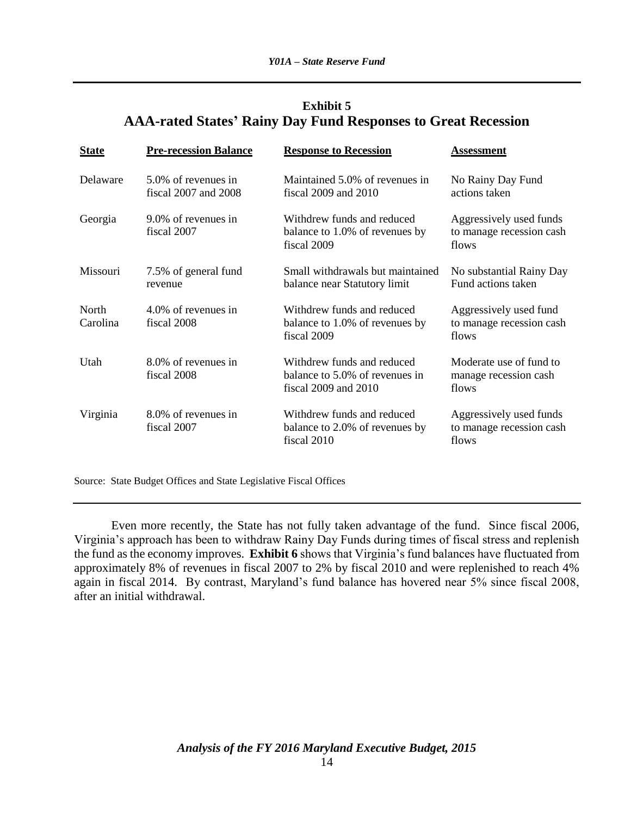## **Exhibit 5 AAA-rated States' Rainy Day Fund Responses to Great Recession**

| <b>State</b>      | <b>Pre-recession Balance</b>                | <b>Response to Recession</b>                                                         | <b>Assessment</b>                                            |
|-------------------|---------------------------------------------|--------------------------------------------------------------------------------------|--------------------------------------------------------------|
| Delaware          | 5.0% of revenues in<br>fiscal 2007 and 2008 | Maintained 5.0% of revenues in<br>fiscal 2009 and 2010                               | No Rainy Day Fund<br>actions taken                           |
| Georgia           | 9.0% of revenues in<br>fiscal 2007          | Withdrew funds and reduced<br>balance to 1.0% of revenues by<br>fiscal 2009          | Aggressively used funds<br>to manage recession cash<br>flows |
| Missouri          | 7.5% of general fund<br>revenue             | Small withdrawals but maintained<br>balance near Statutory limit                     | No substantial Rainy Day<br>Fund actions taken               |
| North<br>Carolina | 4.0% of revenues in<br>fiscal 2008          | Withdrew funds and reduced<br>balance to 1.0% of revenues by<br>fiscal 2009          | Aggressively used fund<br>to manage recession cash<br>flows  |
| Utah              | 8.0% of revenues in<br>fiscal 2008          | Withdrew funds and reduced<br>balance to 5.0% of revenues in<br>fiscal 2009 and 2010 | Moderate use of fund to<br>manage recession cash<br>flows    |
| Virginia          | 8.0% of revenues in<br>fiscal 2007          | Withdrew funds and reduced<br>balance to 2.0% of revenues by<br>fiscal 2010          | Aggressively used funds<br>to manage recession cash<br>flows |

Source: State Budget Offices and State Legislative Fiscal Offices

Even more recently, the State has not fully taken advantage of the fund. Since fiscal 2006, Virginia's approach has been to withdraw Rainy Day Funds during times of fiscal stress and replenish the fund as the economy improves. **Exhibit 6** shows that Virginia's fund balances have fluctuated from approximately 8% of revenues in fiscal 2007 to 2% by fiscal 2010 and were replenished to reach 4% again in fiscal 2014. By contrast, Maryland's fund balance has hovered near 5% since fiscal 2008, after an initial withdrawal.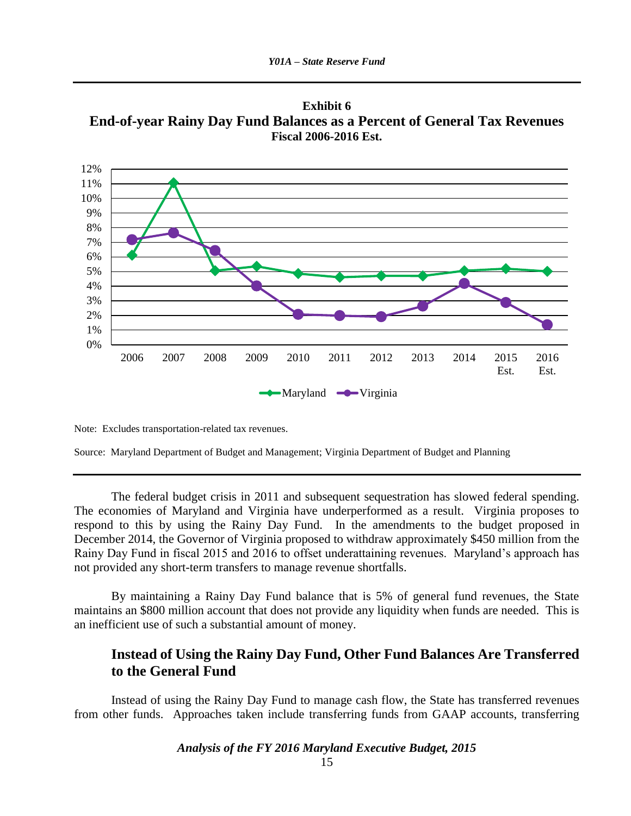**Exhibit 6 End-of-year Rainy Day Fund Balances as a Percent of General Tax Revenues Fiscal 2006-2016 Est.**



Note: Excludes transportation-related tax revenues.

Source: Maryland Department of Budget and Management; Virginia Department of Budget and Planning

The federal budget crisis in 2011 and subsequent sequestration has slowed federal spending. The economies of Maryland and Virginia have underperformed as a result. Virginia proposes to respond to this by using the Rainy Day Fund. In the amendments to the budget proposed in December 2014, the Governor of Virginia proposed to withdraw approximately \$450 million from the Rainy Day Fund in fiscal 2015 and 2016 to offset underattaining revenues. Maryland's approach has not provided any short-term transfers to manage revenue shortfalls.

By maintaining a Rainy Day Fund balance that is 5% of general fund revenues, the State maintains an \$800 million account that does not provide any liquidity when funds are needed. This is an inefficient use of such a substantial amount of money.

## **Instead of Using the Rainy Day Fund, Other Fund Balances Are Transferred to the General Fund**

Instead of using the Rainy Day Fund to manage cash flow, the State has transferred revenues from other funds. Approaches taken include transferring funds from GAAP accounts, transferring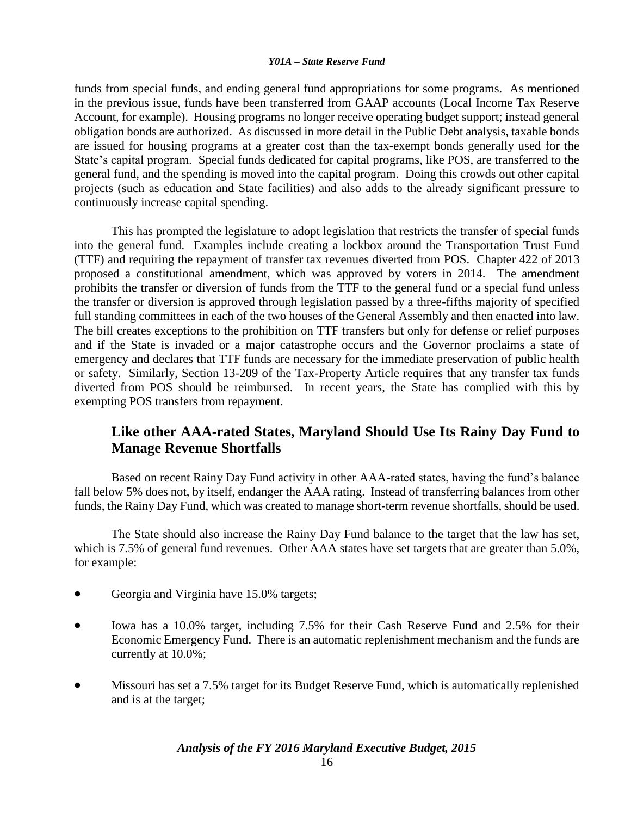funds from special funds, and ending general fund appropriations for some programs. As mentioned in the previous issue, funds have been transferred from GAAP accounts (Local Income Tax Reserve Account, for example). Housing programs no longer receive operating budget support; instead general obligation bonds are authorized. As discussed in more detail in the Public Debt analysis, taxable bonds are issued for housing programs at a greater cost than the tax-exempt bonds generally used for the State's capital program. Special funds dedicated for capital programs, like POS, are transferred to the general fund, and the spending is moved into the capital program. Doing this crowds out other capital projects (such as education and State facilities) and also adds to the already significant pressure to continuously increase capital spending.

This has prompted the legislature to adopt legislation that restricts the transfer of special funds into the general fund. Examples include creating a lockbox around the Transportation Trust Fund (TTF) and requiring the repayment of transfer tax revenues diverted from POS. Chapter 422 of 2013 proposed a constitutional amendment, which was approved by voters in 2014. The amendment prohibits the transfer or diversion of funds from the TTF to the general fund or a special fund unless the transfer or diversion is approved through legislation passed by a three-fifths majority of specified full standing committees in each of the two houses of the General Assembly and then enacted into law. The bill creates exceptions to the prohibition on TTF transfers but only for defense or relief purposes and if the State is invaded or a major catastrophe occurs and the Governor proclaims a state of emergency and declares that TTF funds are necessary for the immediate preservation of public health or safety. Similarly, Section 13-209 of the Tax-Property Article requires that any transfer tax funds diverted from POS should be reimbursed. In recent years, the State has complied with this by exempting POS transfers from repayment.

## **Like other AAA-rated States, Maryland Should Use Its Rainy Day Fund to Manage Revenue Shortfalls**

Based on recent Rainy Day Fund activity in other AAA-rated states, having the fund's balance fall below 5% does not, by itself, endanger the AAA rating. Instead of transferring balances from other funds, the Rainy Day Fund, which was created to manage short-term revenue shortfalls, should be used.

The State should also increase the Rainy Day Fund balance to the target that the law has set, which is 7.5% of general fund revenues. Other AAA states have set targets that are greater than 5.0%, for example:

- Georgia and Virginia have 15.0% targets;
- Iowa has a 10.0% target, including 7.5% for their Cash Reserve Fund and 2.5% for their Economic Emergency Fund. There is an automatic replenishment mechanism and the funds are currently at 10.0%;
- Missouri has set a 7.5% target for its Budget Reserve Fund, which is automatically replenished and is at the target;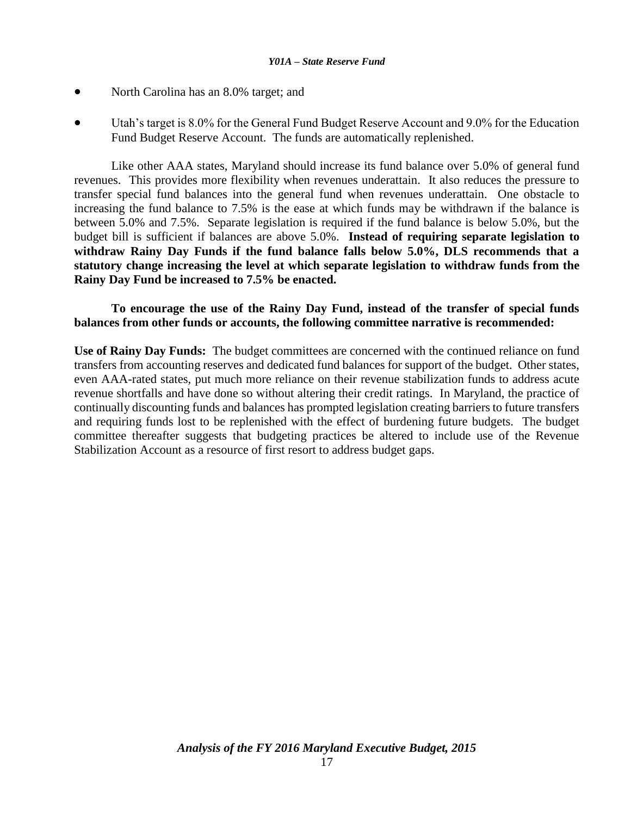- North Carolina has an 8.0% target; and
- Utah's target is 8.0% for the General Fund Budget Reserve Account and 9.0% for the Education Fund Budget Reserve Account. The funds are automatically replenished.

Like other AAA states, Maryland should increase its fund balance over 5.0% of general fund revenues. This provides more flexibility when revenues underattain. It also reduces the pressure to transfer special fund balances into the general fund when revenues underattain. One obstacle to increasing the fund balance to 7.5% is the ease at which funds may be withdrawn if the balance is between 5.0% and 7.5%. Separate legislation is required if the fund balance is below 5.0%, but the budget bill is sufficient if balances are above 5.0%. **Instead of requiring separate legislation to withdraw Rainy Day Funds if the fund balance falls below 5.0%, DLS recommends that a statutory change increasing the level at which separate legislation to withdraw funds from the Rainy Day Fund be increased to 7.5% be enacted.** 

**To encourage the use of the Rainy Day Fund, instead of the transfer of special funds balances from other funds or accounts, the following committee narrative is recommended:** 

**Use of Rainy Day Funds:** The budget committees are concerned with the continued reliance on fund transfers from accounting reserves and dedicated fund balances for support of the budget. Other states, even AAA-rated states, put much more reliance on their revenue stabilization funds to address acute revenue shortfalls and have done so without altering their credit ratings. In Maryland, the practice of continually discounting funds and balances has prompted legislation creating barriers to future transfers and requiring funds lost to be replenished with the effect of burdening future budgets. The budget committee thereafter suggests that budgeting practices be altered to include use of the Revenue Stabilization Account as a resource of first resort to address budget gaps.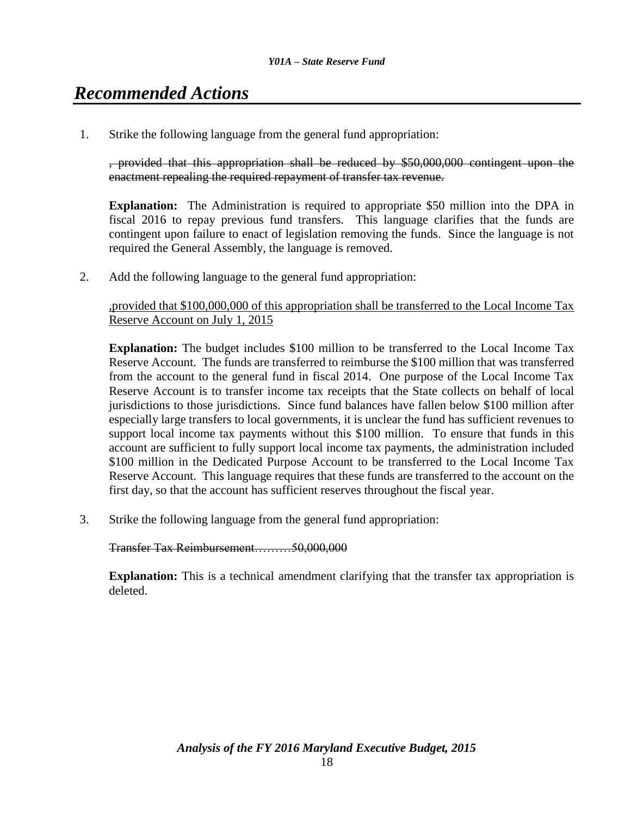# *Recommended Actions*

1. Strike the following language from the general fund appropriation:

, provided that this appropriation shall be reduced by \$50,000,000 contingent upon the enactment repealing the required repayment of transfer tax revenue.

**Explanation:** The Administration is required to appropriate \$50 million into the DPA in fiscal 2016 to repay previous fund transfers. This language clarifies that the funds are contingent upon failure to enact of legislation removing the funds. Since the language is not required the General Assembly, the language is removed.

2. Add the following language to the general fund appropriation:

,provided that \$100,000,000 of this appropriation shall be transferred to the Local Income Tax Reserve Account on July 1, 2015

**Explanation:** The budget includes \$100 million to be transferred to the Local Income Tax Reserve Account. The funds are transferred to reimburse the \$100 million that was transferred from the account to the general fund in fiscal 2014. One purpose of the Local Income Tax Reserve Account is to transfer income tax receipts that the State collects on behalf of local jurisdictions to those jurisdictions. Since fund balances have fallen below \$100 million after especially large transfers to local governments, it is unclear the fund has sufficient revenues to support local income tax payments without this \$100 million. To ensure that funds in this account are sufficient to fully support local income tax payments, the administration included \$100 million in the Dedicated Purpose Account to be transferred to the Local Income Tax Reserve Account. This language requires that these funds are transferred to the account on the first day, so that the account has sufficient reserves throughout the fiscal year.

3. Strike the following language from the general fund appropriation:

Transfer Tax Reimbursement………50,000,000

**Explanation:** This is a technical amendment clarifying that the transfer tax appropriation is deleted.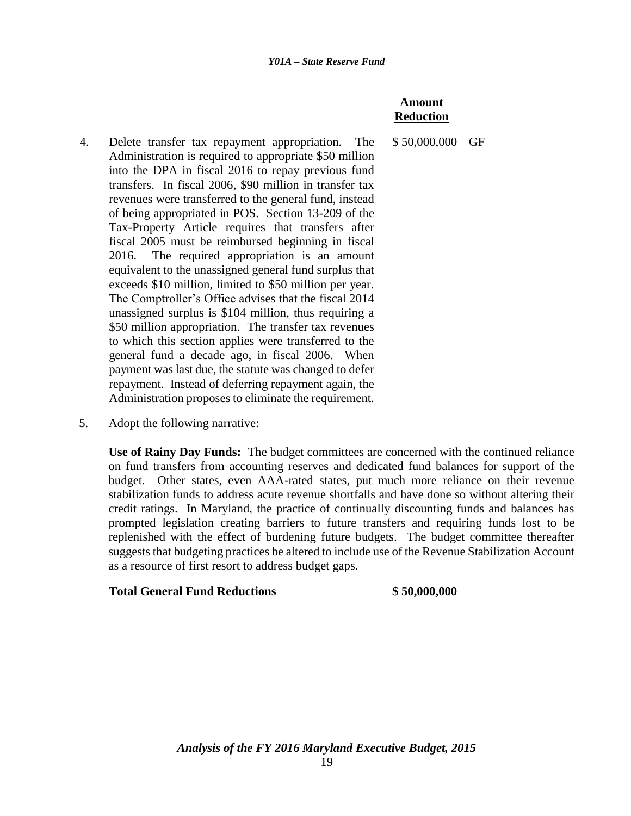### **Amount Reduction**

\$ 50,000,000 GF

- 4. Delete transfer tax repayment appropriation. The Administration is required to appropriate \$50 million into the DPA in fiscal 2016 to repay previous fund transfers. In fiscal 2006, \$90 million in transfer tax revenues were transferred to the general fund, instead of being appropriated in POS. Section 13-209 of the Tax-Property Article requires that transfers after fiscal 2005 must be reimbursed beginning in fiscal 2016. The required appropriation is an amount equivalent to the unassigned general fund surplus that exceeds \$10 million, limited to \$50 million per year. The Comptroller's Office advises that the fiscal 2014 unassigned surplus is \$104 million, thus requiring a \$50 million appropriation. The transfer tax revenues to which this section applies were transferred to the general fund a decade ago, in fiscal 2006. When payment was last due, the statute was changed to defer repayment. Instead of deferring repayment again, the Administration proposes to eliminate the requirement.
- 5. Adopt the following narrative:

**Use of Rainy Day Funds:** The budget committees are concerned with the continued reliance on fund transfers from accounting reserves and dedicated fund balances for support of the budget. Other states, even AAA-rated states, put much more reliance on their revenue stabilization funds to address acute revenue shortfalls and have done so without altering their credit ratings. In Maryland, the practice of continually discounting funds and balances has prompted legislation creating barriers to future transfers and requiring funds lost to be replenished with the effect of burdening future budgets. The budget committee thereafter suggests that budgeting practices be altered to include use of the Revenue Stabilization Account as a resource of first resort to address budget gaps.

### **Total General Fund Reductions \$ 50,000,000**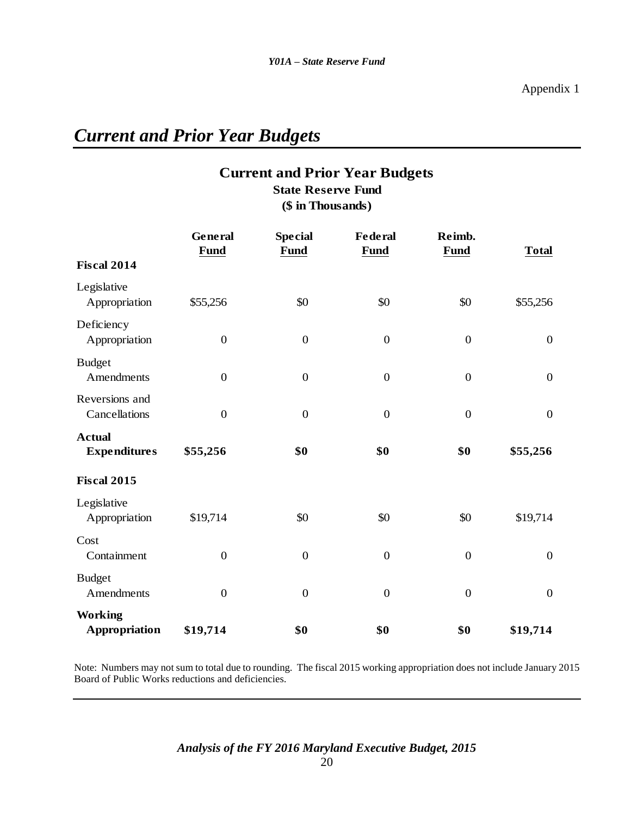# *Current and Prior Year Budgets*

## **Current and Prior Year Budgets State Reserve Fund**

**(\$ in Thousands)**

|                                      | General          | <b>Special</b>   | <b>Federal</b>   | Reimb.           |                  |
|--------------------------------------|------------------|------------------|------------------|------------------|------------------|
| <b>Fiscal 2014</b>                   | <b>Fund</b>      | <b>Fund</b>      | <b>Fund</b>      | <b>Fund</b>      | <b>Total</b>     |
| Legislative<br>Appropriation         | \$55,256         | \$0              | \$0              | \$0              | \$55,256         |
| Deficiency<br>Appropriation          | $\boldsymbol{0}$ | $\boldsymbol{0}$ | $\boldsymbol{0}$ | $\boldsymbol{0}$ | $\boldsymbol{0}$ |
| <b>Budget</b><br>Amendments          | $\boldsymbol{0}$ | $\overline{0}$   | $\boldsymbol{0}$ | $\boldsymbol{0}$ | $\boldsymbol{0}$ |
| Reversions and<br>Cancellations      | $\overline{0}$   | $\overline{0}$   | $\overline{0}$   | $\overline{0}$   | $\overline{0}$   |
| <b>Actual</b><br><b>Expenditures</b> | \$55,256         | \$0              | \$0              | \$0              | \$55,256         |
| <b>Fiscal 2015</b>                   |                  |                  |                  |                  |                  |
| Legislative<br>Appropriation         | \$19,714         | \$0              | \$0              | \$0              | \$19,714         |
| Cost<br>Containment                  | $\mathbf{0}$     | $\overline{0}$   | $\boldsymbol{0}$ | $\boldsymbol{0}$ | $\boldsymbol{0}$ |
| <b>Budget</b><br>Amendments          | $\boldsymbol{0}$ | $\boldsymbol{0}$ | $\boldsymbol{0}$ | $\boldsymbol{0}$ | $\overline{0}$   |
| <b>Working</b><br>Appropriation      | \$19,714         | \$0              | \$0              | \$0              | \$19,714         |

Note: Numbers may not sum to total due to rounding. The fiscal 2015 working appropriation does not include January 2015 Board of Public Works reductions and deficiencies.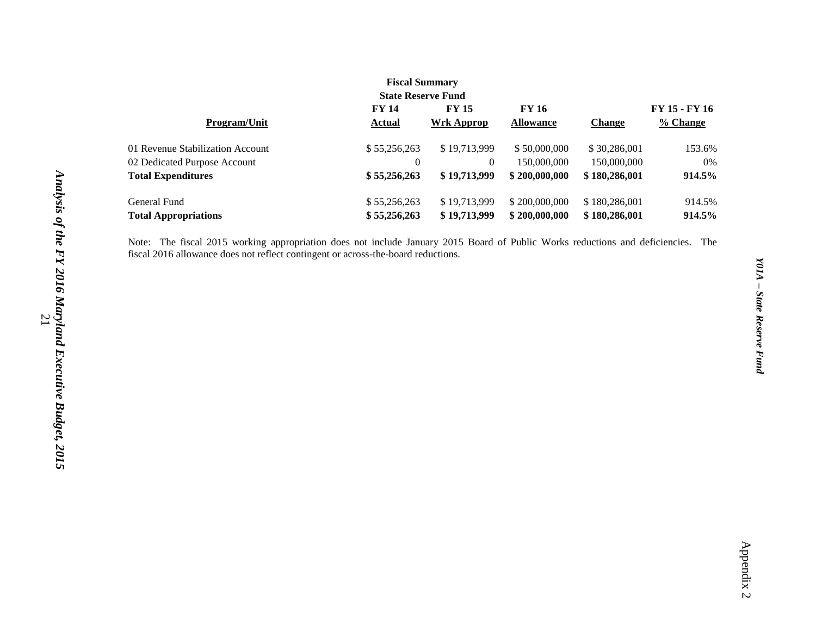|          | <b>FY 15</b>                                                                           | <b>FY 16</b>                                       |               | FY 15 - FY 16 |
|----------|----------------------------------------------------------------------------------------|----------------------------------------------------|---------------|---------------|
|          | Wrk Approp                                                                             | <b>Allowance</b>                                   | <b>Change</b> | % Change      |
|          | \$19,713,999                                                                           | \$50,000,000                                       | \$30,286,001  | 153.6%        |
| $\Omega$ | $\theta$                                                                               | 150,000,000                                        | 150,000,000   | 0%            |
|          | \$19,713,999                                                                           | \$200,000,000                                      | \$180,286,001 | 914.5%        |
|          | \$19,713,999                                                                           | \$200,000,000                                      | \$180,286,001 | 914.5%        |
|          | \$19,713,999                                                                           | \$200,000,000                                      | \$180,286,001 | 914.5%        |
|          | <b>FY 14</b><br>Actual<br>\$55,256,263<br>\$55,256,263<br>\$55,256,263<br>\$55,256,263 | <b>Fiscal Summary</b><br><b>State Reserve Fund</b> |               |               |

Note: The fiscal 2015 working appropriation does not include January 2015 Board of Public Works reductions and deficiencies. The fiscal 2016 allowance does not reflect contingent or across-the-board reductions.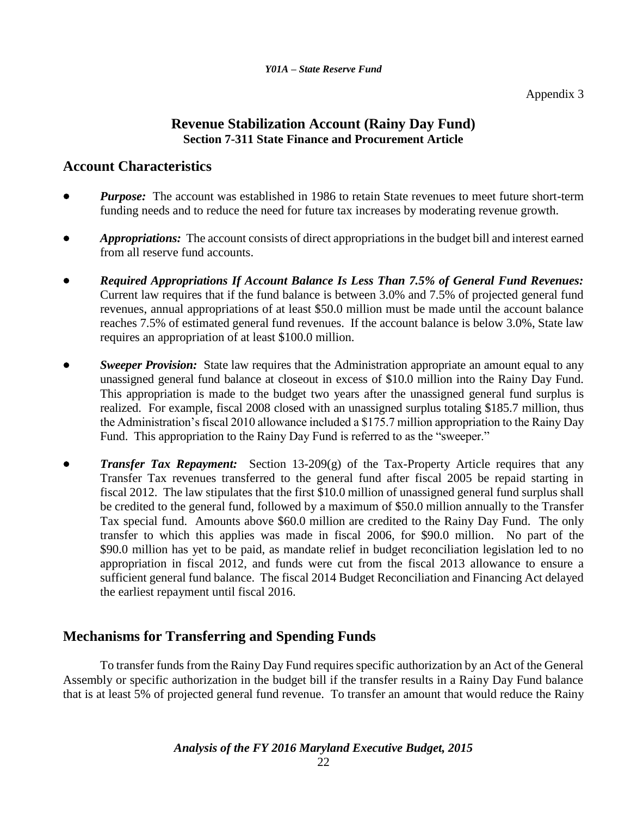## **Revenue Stabilization Account (Rainy Day Fund) Section 7-311 State Finance and Procurement Article**

## **Account Characteristics**

- *Purpose:* The account was established in 1986 to retain State revenues to meet future short-term funding needs and to reduce the need for future tax increases by moderating revenue growth.
- *Appropriations:* The account consists of direct appropriations in the budget bill and interest earned from all reserve fund accounts.
- *Required Appropriations If Account Balance Is Less Than 7.5% of General Fund Revenues:* Current law requires that if the fund balance is between 3.0% and 7.5% of projected general fund revenues, annual appropriations of at least \$50.0 million must be made until the account balance reaches 7.5% of estimated general fund revenues. If the account balance is below 3.0%, State law requires an appropriation of at least \$100.0 million.
- *Sweeper Provision:* State law requires that the Administration appropriate an amount equal to any unassigned general fund balance at closeout in excess of \$10.0 million into the Rainy Day Fund. This appropriation is made to the budget two years after the unassigned general fund surplus is realized. For example, fiscal 2008 closed with an unassigned surplus totaling \$185.7 million, thus the Administration's fiscal 2010 allowance included a \$175.7 million appropriation to the Rainy Day Fund. This appropriation to the Rainy Day Fund is referred to as the "sweeper."
- *Transfer Tax Repayment:* Section 13-209(g) of the Tax-Property Article requires that any Transfer Tax revenues transferred to the general fund after fiscal 2005 be repaid starting in fiscal 2012. The law stipulates that the first \$10.0 million of unassigned general fund surplus shall be credited to the general fund, followed by a maximum of \$50.0 million annually to the Transfer Tax special fund. Amounts above \$60.0 million are credited to the Rainy Day Fund. The only transfer to which this applies was made in fiscal 2006, for \$90.0 million. No part of the \$90.0 million has yet to be paid, as mandate relief in budget reconciliation legislation led to no appropriation in fiscal 2012, and funds were cut from the fiscal 2013 allowance to ensure a sufficient general fund balance. The fiscal 2014 Budget Reconciliation and Financing Act delayed the earliest repayment until fiscal 2016.

## **Mechanisms for Transferring and Spending Funds**

To transfer funds from the Rainy Day Fund requires specific authorization by an Act of the General Assembly or specific authorization in the budget bill if the transfer results in a Rainy Day Fund balance that is at least 5% of projected general fund revenue. To transfer an amount that would reduce the Rainy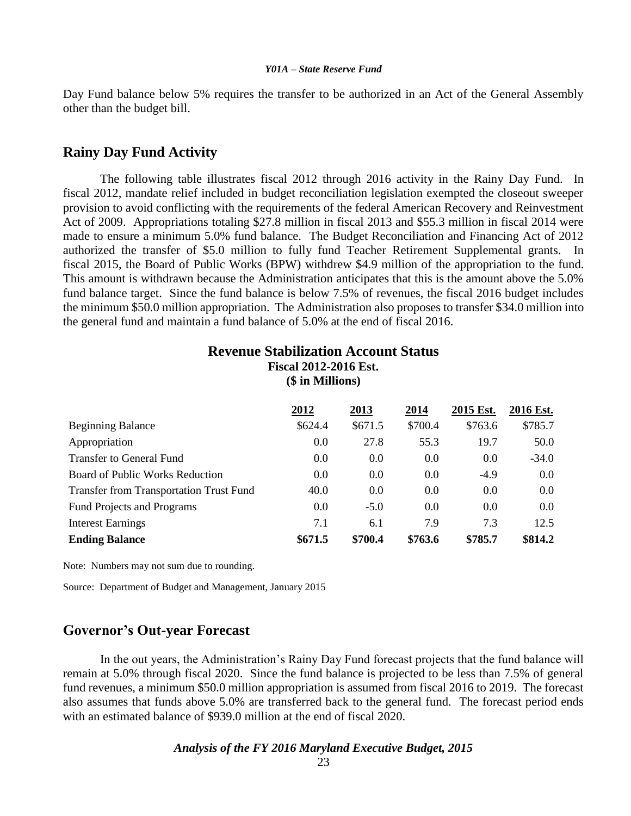Day Fund balance below 5% requires the transfer to be authorized in an Act of the General Assembly other than the budget bill.

### **Rainy Day Fund Activity**

The following table illustrates fiscal 2012 through 2016 activity in the Rainy Day Fund. In fiscal 2012, mandate relief included in budget reconciliation legislation exempted the closeout sweeper provision to avoid conflicting with the requirements of the federal American Recovery and Reinvestment Act of 2009. Appropriations totaling \$27.8 million in fiscal 2013 and \$55.3 million in fiscal 2014 were made to ensure a minimum 5.0% fund balance. The Budget Reconciliation and Financing Act of 2012 authorized the transfer of \$5.0 million to fully fund Teacher Retirement Supplemental grants. In fiscal 2015, the Board of Public Works (BPW) withdrew \$4.9 million of the appropriation to the fund. This amount is withdrawn because the Administration anticipates that this is the amount above the 5.0% fund balance target. Since the fund balance is below 7.5% of revenues, the fiscal 2016 budget includes the minimum \$50.0 million appropriation. The Administration also proposes to transfer \$34.0 million into the general fund and maintain a fund balance of 5.0% at the end of fiscal 2016.

# **Revenue Stabilization Account Status Fiscal 2012-2016 Est. (\$ in Millions)**

|                                                | 2012    | 2013    | 2014    | 2015 Est. | 2016 Est. |
|------------------------------------------------|---------|---------|---------|-----------|-----------|
| <b>Beginning Balance</b>                       | \$624.4 | \$671.5 | \$700.4 | \$763.6   | \$785.7   |
| Appropriation                                  | 0.0     | 27.8    | 55.3    | 19.7      | 50.0      |
| <b>Transfer to General Fund</b>                | 0.0     | 0.0     | 0.0     | 0.0       | $-34.0$   |
| Board of Public Works Reduction                | 0.0     | 0.0     | 0.0     | $-4.9$    | 0.0       |
| <b>Transfer from Transportation Trust Fund</b> | 40.0    | 0.0     | 0.0     | 0.0       | 0.0       |
| <b>Fund Projects and Programs</b>              | 0.0     | $-5.0$  | 0.0     | 0.0       | 0.0       |
| <b>Interest Earnings</b>                       | 7.1     | 6.1     | 7.9     | 7.3       | 12.5      |
| <b>Ending Balance</b>                          | \$671.5 | \$700.4 | \$763.6 | \$785.7   | \$814.2   |

Note: Numbers may not sum due to rounding.

Source: Department of Budget and Management, January 2015

### **Governor's Out-year Forecast**

In the out years, the Administration's Rainy Day Fund forecast projects that the fund balance will remain at 5.0% through fiscal 2020. Since the fund balance is projected to be less than 7.5% of general fund revenues, a minimum \$50.0 million appropriation is assumed from fiscal 2016 to 2019. The forecast also assumes that funds above 5.0% are transferred back to the general fund. The forecast period ends with an estimated balance of \$939.0 million at the end of fiscal 2020.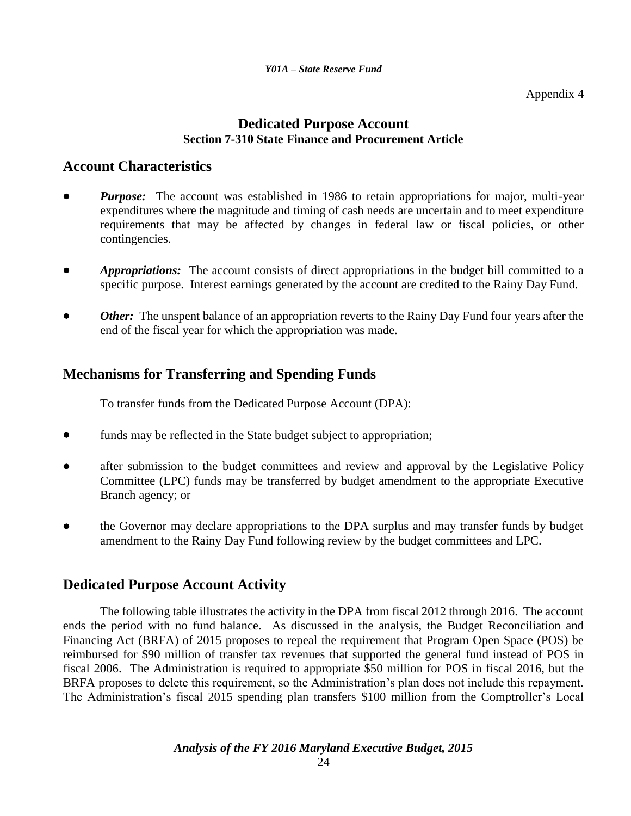### Appendix 4

## **Dedicated Purpose Account Section 7-310 State Finance and Procurement Article**

## **Account Characteristics**

- *Purpose:* The account was established in 1986 to retain appropriations for major, multi-year expenditures where the magnitude and timing of cash needs are uncertain and to meet expenditure requirements that may be affected by changes in federal law or fiscal policies, or other contingencies.
- *Appropriations:* The account consists of direct appropriations in the budget bill committed to a specific purpose. Interest earnings generated by the account are credited to the Rainy Day Fund.
- *Other:* The unspent balance of an appropriation reverts to the Rainy Day Fund four years after the end of the fiscal year for which the appropriation was made.

## **Mechanisms for Transferring and Spending Funds**

To transfer funds from the Dedicated Purpose Account (DPA):

- funds may be reflected in the State budget subject to appropriation;
- after submission to the budget committees and review and approval by the Legislative Policy Committee (LPC) funds may be transferred by budget amendment to the appropriate Executive Branch agency; or
- the Governor may declare appropriations to the DPA surplus and may transfer funds by budget amendment to the Rainy Day Fund following review by the budget committees and LPC.

## **Dedicated Purpose Account Activity**

The following table illustrates the activity in the DPA from fiscal 2012 through 2016. The account ends the period with no fund balance. As discussed in the analysis, the Budget Reconciliation and Financing Act (BRFA) of 2015 proposes to repeal the requirement that Program Open Space (POS) be reimbursed for \$90 million of transfer tax revenues that supported the general fund instead of POS in fiscal 2006. The Administration is required to appropriate \$50 million for POS in fiscal 2016, but the BRFA proposes to delete this requirement, so the Administration's plan does not include this repayment. The Administration's fiscal 2015 spending plan transfers \$100 million from the Comptroller's Local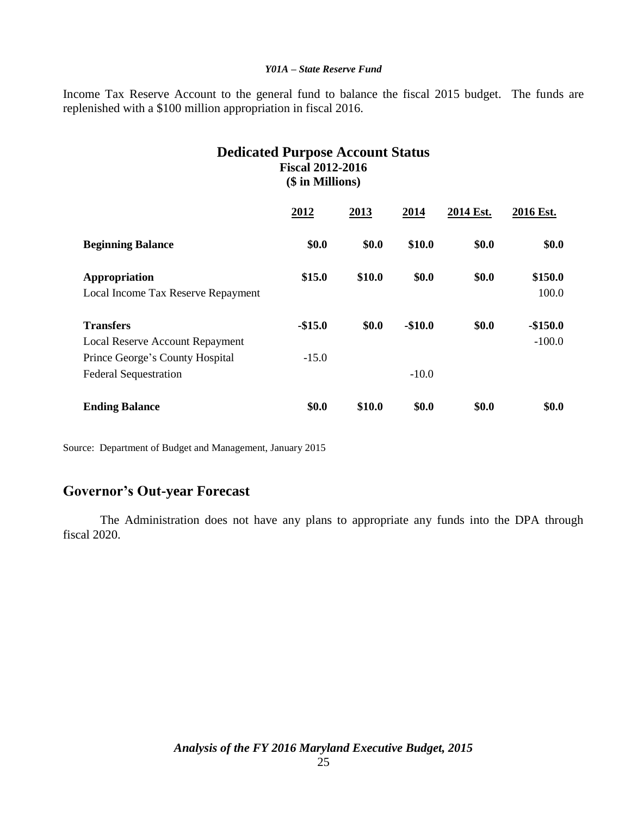Income Tax Reserve Account to the general fund to balance the fiscal 2015 budget. The funds are replenished with a \$100 million appropriation in fiscal 2016.

## **Dedicated Purpose Account Status Fiscal 2012-2016 (\$ in Millions)**

|                                    | 2012     | 2013   | 2014     | 2014 Est. | 2016 Est. |
|------------------------------------|----------|--------|----------|-----------|-----------|
| <b>Beginning Balance</b>           | \$0.0    | \$0.0  | \$10.0   | \$0.0     | \$0.0     |
| Appropriation                      | \$15.0   | \$10.0 | \$0.0    | \$0.0     | \$150.0   |
| Local Income Tax Reserve Repayment |          |        |          |           | 100.0     |
| <b>Transfers</b>                   | $-$15.0$ | \$0.0  | $-$10.0$ | \$0.0     | $-$150.0$ |
| Local Reserve Account Repayment    |          |        |          |           | $-100.0$  |
| Prince George's County Hospital    | $-15.0$  |        |          |           |           |
| <b>Federal Sequestration</b>       |          |        | $-10.0$  |           |           |
| <b>Ending Balance</b>              | \$0.0    | \$10.0 | \$0.0    | \$0.0     | \$0.0     |

Source: Department of Budget and Management, January 2015

## **Governor's Out-year Forecast**

The Administration does not have any plans to appropriate any funds into the DPA through fiscal 2020.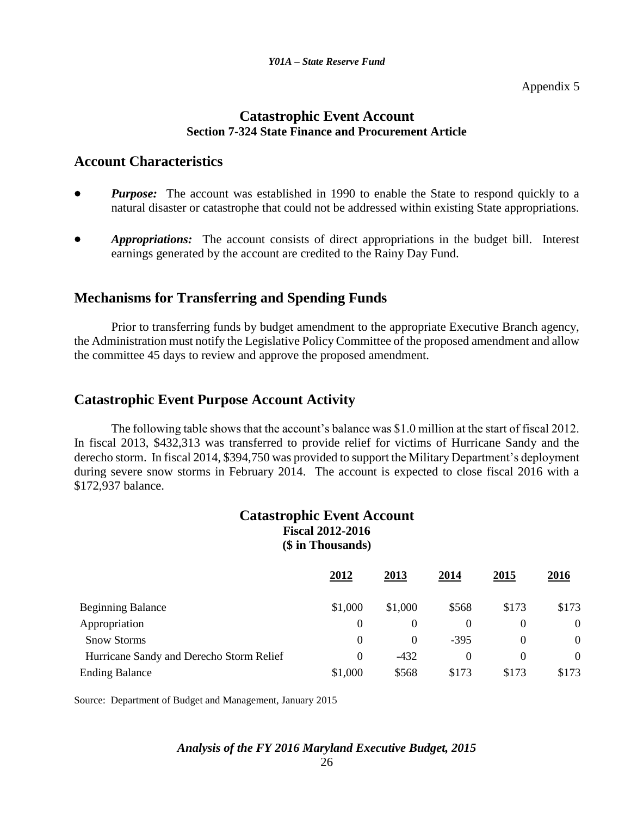Appendix 5

## **Catastrophic Event Account Section 7-324 State Finance and Procurement Article**

## **Account Characteristics**

- *Purpose:* The account was established in 1990 to enable the State to respond quickly to a natural disaster or catastrophe that could not be addressed within existing State appropriations.
- *Appropriations:* The account consists of direct appropriations in the budget bill. Interest earnings generated by the account are credited to the Rainy Day Fund.

## **Mechanisms for Transferring and Spending Funds**

Prior to transferring funds by budget amendment to the appropriate Executive Branch agency, the Administration must notify the Legislative Policy Committee of the proposed amendment and allow the committee 45 days to review and approve the proposed amendment.

## **Catastrophic Event Purpose Account Activity**

The following table shows that the account's balance was \$1.0 million at the start of fiscal 2012. In fiscal 2013, \$432,313 was transferred to provide relief for victims of Hurricane Sandy and the derecho storm. In fiscal 2014, \$394,750 was provided to support the Military Department's deployment during severe snow storms in February 2014. The account is expected to close fiscal 2016 with a \$172,937 balance.

## **Catastrophic Event Account Fiscal 2012-2016 (\$ in Thousands)**

|                                          | 2012    | 2013     | 2014   | 2015  | 2016     |
|------------------------------------------|---------|----------|--------|-------|----------|
| <b>Beginning Balance</b>                 | \$1,000 | \$1,000  | \$568  | \$173 | \$173    |
| Appropriation                            |         |          |        |       | $\theta$ |
| <b>Snow Storms</b>                       |         | $\theta$ | $-395$ |       | $\theta$ |
| Hurricane Sandy and Derecho Storm Relief |         | $-432$   | 0      |       | $\theta$ |
| <b>Ending Balance</b>                    | \$1,000 | \$568    | \$173  | \$173 | \$173    |

Source: Department of Budget and Management, January 2015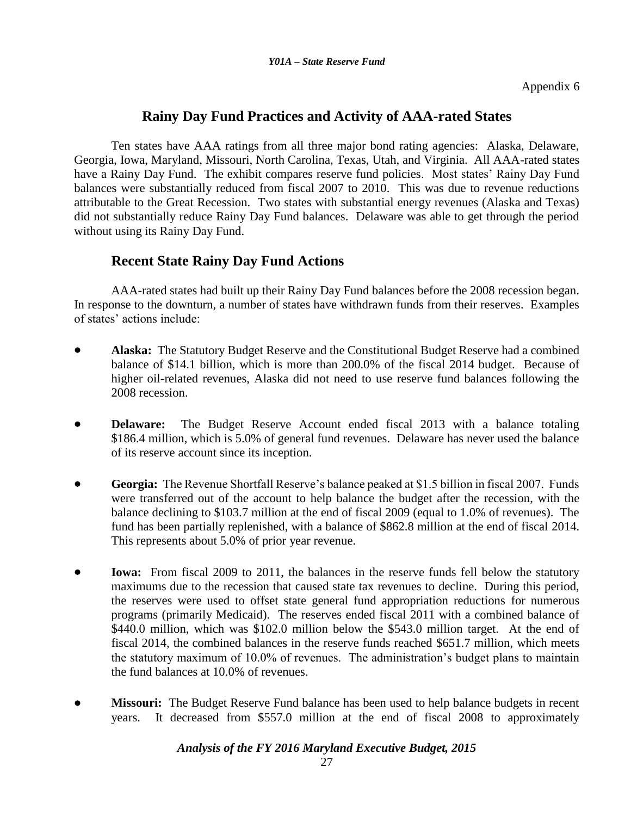## **Rainy Day Fund Practices and Activity of AAA-rated States**

Ten states have AAA ratings from all three major bond rating agencies: Alaska, Delaware, Georgia, Iowa, Maryland, Missouri, North Carolina, Texas, Utah, and Virginia. All AAA-rated states have a Rainy Day Fund. The exhibit compares reserve fund policies. Most states' Rainy Day Fund balances were substantially reduced from fiscal 2007 to 2010. This was due to revenue reductions attributable to the Great Recession. Two states with substantial energy revenues (Alaska and Texas) did not substantially reduce Rainy Day Fund balances. Delaware was able to get through the period without using its Rainy Day Fund.

## **Recent State Rainy Day Fund Actions**

AAA-rated states had built up their Rainy Day Fund balances before the 2008 recession began. In response to the downturn, a number of states have withdrawn funds from their reserves. Examples of states' actions include:

- **Alaska:** The Statutory Budget Reserve and the Constitutional Budget Reserve had a combined balance of \$14.1 billion, which is more than 200.0% of the fiscal 2014 budget. Because of higher oil-related revenues, Alaska did not need to use reserve fund balances following the 2008 recession.
- **Delaware:** The Budget Reserve Account ended fiscal 2013 with a balance totaling \$186.4 million, which is 5.0% of general fund revenues. Delaware has never used the balance of its reserve account since its inception.
- **Georgia:** The Revenue Shortfall Reserve's balance peaked at \$1.5 billion in fiscal 2007. Funds were transferred out of the account to help balance the budget after the recession, with the balance declining to \$103.7 million at the end of fiscal 2009 (equal to 1.0% of revenues). The fund has been partially replenished, with a balance of \$862.8 million at the end of fiscal 2014. This represents about 5.0% of prior year revenue.
- **Iowa:** From fiscal 2009 to 2011, the balances in the reserve funds fell below the statutory maximums due to the recession that caused state tax revenues to decline. During this period, the reserves were used to offset state general fund appropriation reductions for numerous programs (primarily Medicaid). The reserves ended fiscal 2011 with a combined balance of \$440.0 million, which was \$102.0 million below the \$543.0 million target. At the end of fiscal 2014, the combined balances in the reserve funds reached \$651.7 million, which meets the statutory maximum of 10.0% of revenues. The administration's budget plans to maintain the fund balances at 10.0% of revenues.
- **Missouri:** The Budget Reserve Fund balance has been used to help balance budgets in recent years. It decreased from \$557.0 million at the end of fiscal 2008 to approximately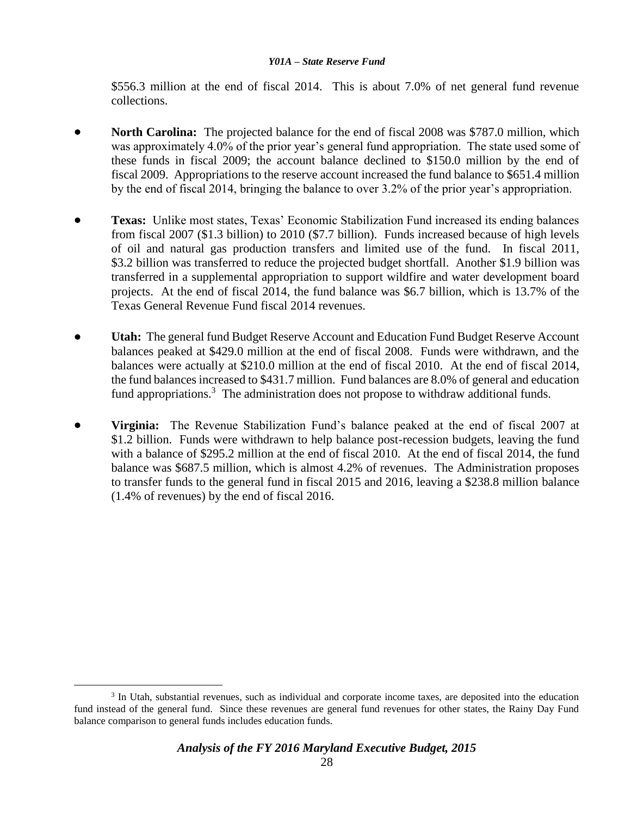\$556.3 million at the end of fiscal 2014. This is about 7.0% of net general fund revenue collections.

- **North Carolina:** The projected balance for the end of fiscal 2008 was \$787.0 million, which was approximately 4.0% of the prior year's general fund appropriation. The state used some of these funds in fiscal 2009; the account balance declined to \$150.0 million by the end of fiscal 2009. Appropriations to the reserve account increased the fund balance to \$651.4 million by the end of fiscal 2014, bringing the balance to over 3.2% of the prior year's appropriation.
- **Texas:** Unlike most states, Texas' Economic Stabilization Fund increased its ending balances from fiscal 2007 (\$1.3 billion) to 2010 (\$7.7 billion). Funds increased because of high levels of oil and natural gas production transfers and limited use of the fund. In fiscal 2011, \$3.2 billion was transferred to reduce the projected budget shortfall. Another \$1.9 billion was transferred in a supplemental appropriation to support wildfire and water development board projects. At the end of fiscal 2014, the fund balance was \$6.7 billion, which is 13.7% of the Texas General Revenue Fund fiscal 2014 revenues.
- **Utah:** The general fund Budget Reserve Account and Education Fund Budget Reserve Account balances peaked at \$429.0 million at the end of fiscal 2008. Funds were withdrawn, and the balances were actually at \$210.0 million at the end of fiscal 2010. At the end of fiscal 2014, the fund balances increased to \$431.7 million. Fund balances are 8.0% of general and education fund appropriations.<sup>3</sup> The administration does not propose to withdraw additional funds.
- **Virginia:** The Revenue Stabilization Fund's balance peaked at the end of fiscal 2007 at \$1.2 billion. Funds were withdrawn to help balance post-recession budgets, leaving the fund with a balance of \$295.2 million at the end of fiscal 2010. At the end of fiscal 2014, the fund balance was \$687.5 million, which is almost 4.2% of revenues. The Administration proposes to transfer funds to the general fund in fiscal 2015 and 2016, leaving a \$238.8 million balance (1.4% of revenues) by the end of fiscal 2016.

 $\overline{a}$ 

<sup>&</sup>lt;sup>3</sup> In Utah, substantial revenues, such as individual and corporate income taxes, are deposited into the education fund instead of the general fund. Since these revenues are general fund revenues for other states, the Rainy Day Fund balance comparison to general funds includes education funds.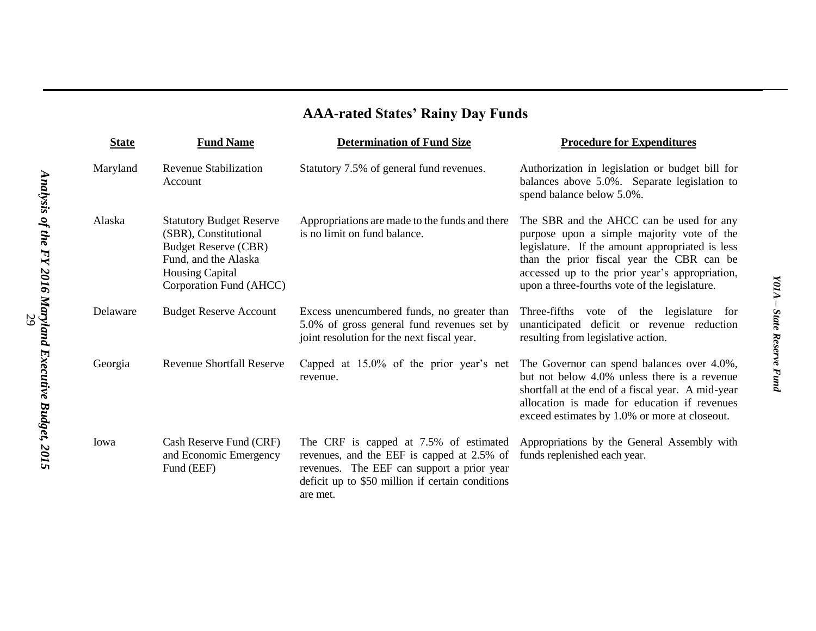# **AAA-rated States' Rainy Day Funds**

| <b>State</b> | <b>Fund Name</b>                                                                                                                                                     | <b>Determination of Fund Size</b>                                                                                                                                                                  | <b>Procedure for Expenditures</b>                                                                                                                                                                                                                                                         |
|--------------|----------------------------------------------------------------------------------------------------------------------------------------------------------------------|----------------------------------------------------------------------------------------------------------------------------------------------------------------------------------------------------|-------------------------------------------------------------------------------------------------------------------------------------------------------------------------------------------------------------------------------------------------------------------------------------------|
| Maryland     | <b>Revenue Stabilization</b><br>Account                                                                                                                              | Statutory 7.5% of general fund revenues.                                                                                                                                                           | Authorization in legislation or budget bill for<br>balances above 5.0%. Separate legislation to<br>spend balance below 5.0%.                                                                                                                                                              |
| Alaska       | <b>Statutory Budget Reserve</b><br>(SBR), Constitutional<br><b>Budget Reserve (CBR)</b><br>Fund, and the Alaska<br><b>Housing Capital</b><br>Corporation Fund (AHCC) | Appropriations are made to the funds and there<br>is no limit on fund balance.                                                                                                                     | The SBR and the AHCC can be used for any<br>purpose upon a simple majority vote of the<br>legislature. If the amount appropriated is less<br>than the prior fiscal year the CBR can be<br>accessed up to the prior year's appropriation,<br>upon a three-fourths vote of the legislature. |
| Delaware     | <b>Budget Reserve Account</b>                                                                                                                                        | Excess unencumbered funds, no greater than<br>5.0% of gross general fund revenues set by<br>joint resolution for the next fiscal year.                                                             | Three-fifths vote of the legislature for<br>unanticipated deficit or revenue reduction<br>resulting from legislative action.                                                                                                                                                              |
| Georgia      | <b>Revenue Shortfall Reserve</b>                                                                                                                                     | Capped at $15.0\%$ of the prior year's net<br>revenue.                                                                                                                                             | The Governor can spend balances over 4.0%,<br>but not below 4.0% unless there is a revenue<br>shortfall at the end of a fiscal year. A mid-year<br>allocation is made for education if revenues<br>exceed estimates by 1.0% or more at closeout.                                          |
| Iowa         | Cash Reserve Fund (CRF)<br>and Economic Emergency<br>Fund (EEF)                                                                                                      | The CRF is capped at 7.5% of estimated<br>revenues, and the EEF is capped at 2.5% of<br>revenues. The EEF can support a prior year<br>deficit up to \$50 million if certain conditions<br>are met. | Appropriations by the General Assembly with<br>funds replenished each year.                                                                                                                                                                                                               |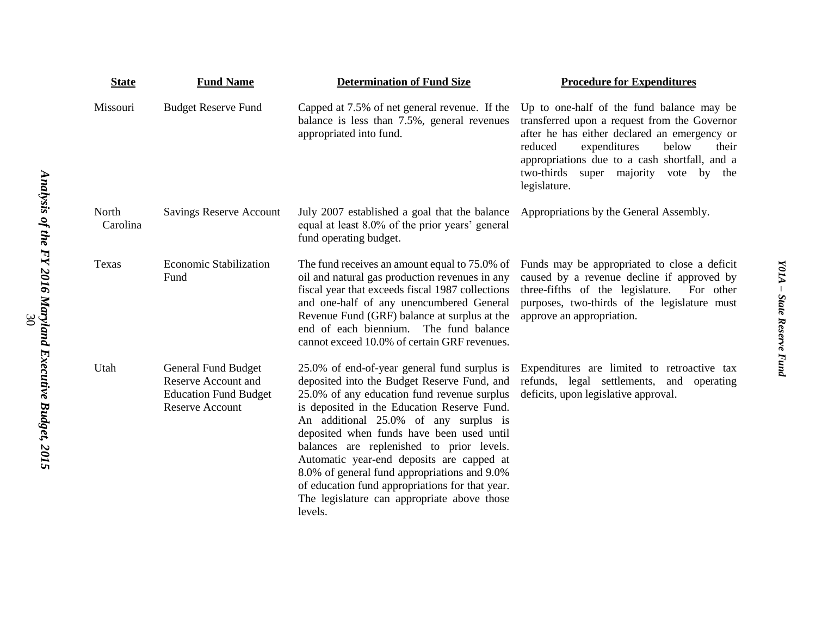| <b>State</b>      | <b>Fund Name</b>                                                                                     | <b>Determination of Fund Size</b>                                                                                                                                                                                                                                                                                                                                                                                                                                                                                                      | <b>Procedure for Expenditures</b>                                                                                                                                                                                                                                                                |
|-------------------|------------------------------------------------------------------------------------------------------|----------------------------------------------------------------------------------------------------------------------------------------------------------------------------------------------------------------------------------------------------------------------------------------------------------------------------------------------------------------------------------------------------------------------------------------------------------------------------------------------------------------------------------------|--------------------------------------------------------------------------------------------------------------------------------------------------------------------------------------------------------------------------------------------------------------------------------------------------|
| Missouri          | <b>Budget Reserve Fund</b>                                                                           | Capped at 7.5% of net general revenue. If the<br>balance is less than 7.5%, general revenues<br>appropriated into fund.                                                                                                                                                                                                                                                                                                                                                                                                                | Up to one-half of the fund balance may be<br>transferred upon a request from the Governor<br>after he has either declared an emergency or<br>below<br>reduced<br>expenditures<br>their<br>appropriations due to a cash shortfall, and a<br>two-thirds super majority vote by the<br>legislature. |
| North<br>Carolina | <b>Savings Reserve Account</b>                                                                       | July 2007 established a goal that the balance<br>equal at least 8.0% of the prior years' general<br>fund operating budget.                                                                                                                                                                                                                                                                                                                                                                                                             | Appropriations by the General Assembly.                                                                                                                                                                                                                                                          |
| Texas             | <b>Economic Stabilization</b><br>Fund                                                                | The fund receives an amount equal to 75.0% of<br>oil and natural gas production revenues in any<br>fiscal year that exceeds fiscal 1987 collections<br>and one-half of any unencumbered General<br>Revenue Fund (GRF) balance at surplus at the<br>end of each biennium. The fund balance<br>cannot exceed 10.0% of certain GRF revenues.                                                                                                                                                                                              | Funds may be appropriated to close a deficit<br>caused by a revenue decline if approved by<br>three-fifths of the legislature.<br>For other<br>purposes, two-thirds of the legislature must<br>approve an appropriation.                                                                         |
| Utah              | General Fund Budget<br>Reserve Account and<br><b>Education Fund Budget</b><br><b>Reserve Account</b> | 25.0% of end-of-year general fund surplus is<br>deposited into the Budget Reserve Fund, and<br>25.0% of any education fund revenue surplus<br>is deposited in the Education Reserve Fund.<br>An additional 25.0% of any surplus is<br>deposited when funds have been used until<br>balances are replenished to prior levels.<br>Automatic year-end deposits are capped at<br>8.0% of general fund appropriations and 9.0%<br>of education fund appropriations for that year.<br>The legislature can appropriate above those<br>levels. | Expenditures are limited to retroactive tax<br>refunds, legal settlements, and operating<br>deficits, upon legislative approval.                                                                                                                                                                 |